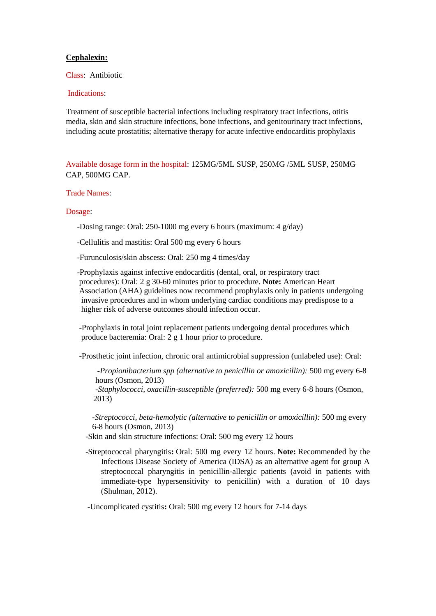## **Cephalexin:**

Class: Antibiotic

## Indications:

Treatment of susceptible bacterial infections including respiratory tract infections, otitis media, skin and skin structure infections, bone infections, and genitourinary tract infections, including acute prostatitis; alternative therapy for acute infective endocarditis prophylaxis

Available dosage form in the hospital: 125MG/5ML SUSP, 250MG /5ML SUSP, 250MG CAP, 500MG CAP.

## Trade Names:

## Dosage:

-Dosing range: Oral: 250-1000 mg every 6 hours (maximum: 4 g/day)

-Cellulitis and mastitis: Oral 500 mg every 6 hours

-Furunculosis/skin abscess: Oral: 250 mg 4 times/day

 -Prophylaxis against infective endocarditis (dental, oral, or respiratory tract procedures): Oral: 2 g 30-60 minutes prior to procedure. **Note:** American Heart Association (AHA) guidelines now recommend prophylaxis only in patients undergoing invasive procedures and in whom underlying cardiac conditions may predispose to a higher risk of adverse outcomes should infection occur.

 -Prophylaxis in total joint replacement patients undergoing dental procedures which produce bacteremia: Oral: 2 g 1 hour prior to procedure.

-Prosthetic joint infection, chronic oral antimicrobial suppression (unlabeled use): Oral:

 *-Propionibacterium spp (alternative to penicillin or amoxicillin):* 500 mg every 6-8 hours (Osmon, 2013)  *-Staphylococci, oxacillin-susceptible (preferred):* 500 mg every 6-8 hours (Osmon, 2013)

 *-Streptococci, beta-hemolytic (alternative to penicillin or amoxicillin):* 500 mg every 6-8 hours (Osmon, 2013)

-Skin and skin structure infections: Oral: 500 mg every 12 hours

-Streptococcal pharyngitis**:** Oral: 500 mg every 12 hours. **Note:** Recommended by the Infectious Disease Society of America (IDSA) as an alternative agent for group A streptococcal pharyngitis in penicillin-allergic patients (avoid in patients with immediate-type hypersensitivity to penicillin) with a duration of 10 days (Shulman, 2012).

-Uncomplicated cystitis**:** Oral: 500 mg every 12 hours for 7-14 days